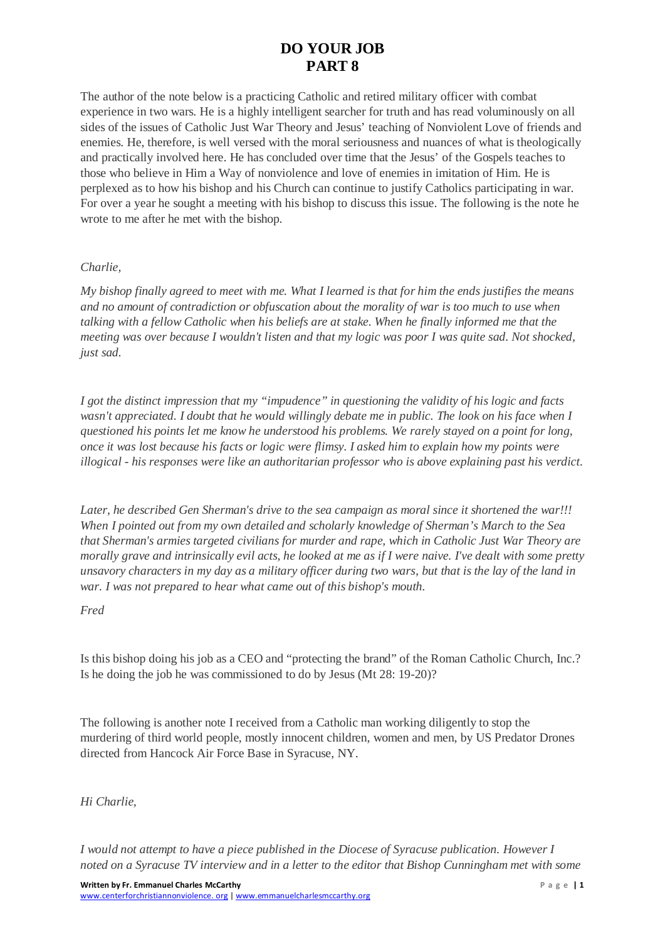The author of the note below is a practicing Catholic and retired military officer with combat experience in two wars. He is a highly intelligent searcher for truth and has read voluminously on all sides of the issues of Catholic Just War Theory and Jesus' teaching of Nonviolent Love of friends and enemies. He, therefore, is well versed with the moral seriousness and nuances of what is theologically and practically involved here. He has concluded over time that the Jesus' of the Gospels teaches to those who believe in Him a Way of nonviolence and love of enemies in imitation of Him. He is perplexed as to how his bishop and his Church can continue to justify Catholics participating in war. For over a year he sought a meeting with his bishop to discuss this issue. The following is the note he wrote to me after he met with the bishop.

#### *Charlie,*

*My bishop finally agreed to meet with me. What I learned is that for him the ends justifies the means and no amount of contradiction or obfuscation about the morality of war is too much to use when talking with a fellow Catholic when his beliefs are at stake. When he finally informed me that the meeting was over because I wouldn't listen and that my logic was poor I was quite sad. Not shocked, just sad.*

*I got the distinct impression that my "impudence" in questioning the validity of his logic and facts wasn't appreciated. I doubt that he would willingly debate me in public. The look on his face when I questioned his points let me know he understood his problems. We rarely stayed on a point for long, once it was lost because his facts or logic were flimsy. I asked him to explain how my points were illogical - his responses were like an authoritarian professor who is above explaining past his verdict.*

*Later, he described Gen Sherman's drive to the sea campaign as moral since it shortened the war!!! When I pointed out from my own detailed and scholarly knowledge of Sherman's March to the Sea that Sherman's armies targeted civilians for murder and rape, which in Catholic Just War Theory are morally grave and intrinsically evil acts, he looked at me as if I were naive. I've dealt with some pretty unsavory characters in my day as a military officer during two wars, but that is the lay of the land in war. I was not prepared to hear what came out of this bishop's mouth.*

#### *Fred*

Is this bishop doing his job as a CEO and "protecting the brand" of the Roman Catholic Church, Inc.? Is he doing the job he was commissioned to do by Jesus (Mt 28: 19-20)?

The following is another note I received from a Catholic man working diligently to stop the murdering of third world people, mostly innocent children, women and men, by US Predator Drones directed from Hancock Air Force Base in Syracuse, NY.

#### *Hi Charlie,*

*I would not attempt to have a piece published in the Diocese of Syracuse publication. However I noted on a Syracuse TV interview and in a letter to the editor that Bishop Cunningham met with some*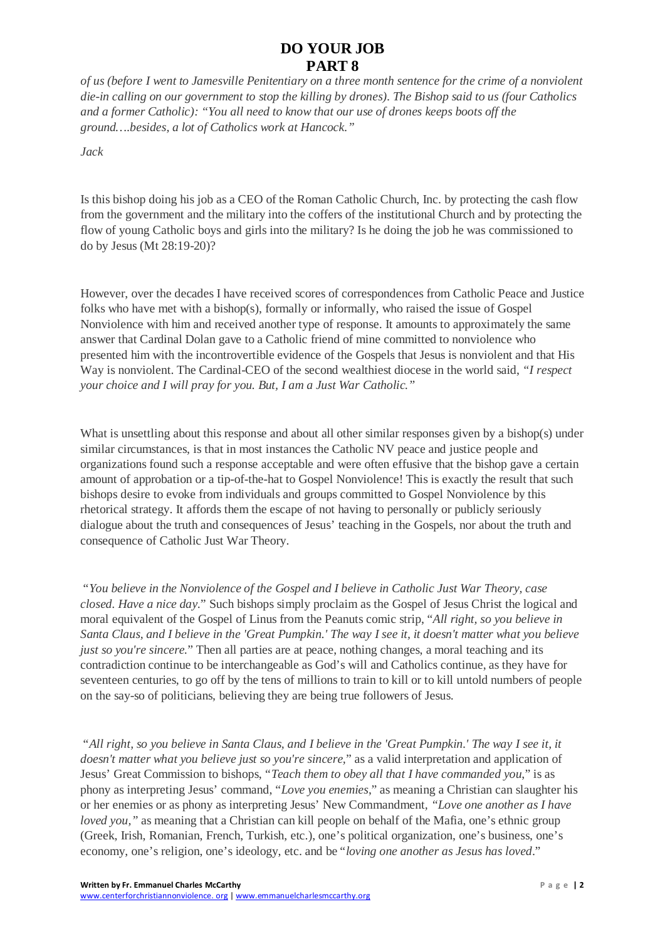*of us (before I went to Jamesville Penitentiary on a three month sentence for the crime of a nonviolent die-in calling on our government to stop the killing by drones). The Bishop said to us (four Catholics and a former Catholic): "You all need to know that our use of drones keeps boots off the ground….besides, a lot of Catholics work at Hancock."*

*Jack*

Is this bishop doing his job as a CEO of the Roman Catholic Church, Inc. by protecting the cash flow from the government and the military into the coffers of the institutional Church and by protecting the flow of young Catholic boys and girls into the military? Is he doing the job he was commissioned to do by Jesus (Mt 28:19-20)?

However, over the decades I have received scores of correspondences from Catholic Peace and Justice folks who have met with a bishop(s), formally or informally, who raised the issue of Gospel Nonviolence with him and received another type of response. It amounts to approximately the same answer that Cardinal Dolan gave to a Catholic friend of mine committed to nonviolence who presented him with the incontrovertible evidence of the Gospels that Jesus is nonviolent and that His Way is nonviolent. The Cardinal-CEO of the second wealthiest diocese in the world said, *"I respect your choice and I will pray for you. But, I am a Just War Catholic."*

What is unsettling about this response and about all other similar responses given by a bishop(s) under similar circumstances, is that in most instances the Catholic NV peace and justice people and organizations found such a response acceptable and were often effusive that the bishop gave a certain amount of approbation or a tip-of-the-hat to Gospel Nonviolence! This is exactly the result that such bishops desire to evoke from individuals and groups committed to Gospel Nonviolence by this rhetorical strategy. It affords them the escape of not having to personally or publicly seriously dialogue about the truth and consequences of Jesus' teaching in the Gospels, nor about the truth and consequence of Catholic Just War Theory.

"*You believe in the Nonviolence of the Gospel and I believe in Catholic Just War Theory, case closed. Have a nice day.*" Such bishops simply proclaim as the Gospel of Jesus Christ the logical and moral equivalent of the Gospel of Linus from the Peanuts comic strip, "*All right, so you believe in Santa Claus, and I believe in the 'Great Pumpkin.' The way I see it, it doesn't matter what you believe just so you're sincere.*" Then all parties are at peace, nothing changes, a moral teaching and its contradiction continue to be interchangeable as God's will and Catholics continue, as they have for seventeen centuries, to go off by the tens of millions to train to kill or to kill untold numbers of people on the say-so of politicians, believing they are being true followers of Jesus.

"*All right, so you believe in Santa Claus, and I believe in the 'Great Pumpkin.' The way I see it, it doesn't matter what you believe just so you're sincere,*" as a valid interpretation and application of Jesus' Great Commission to bishops, "*Teach them to obey all that I have commanded you*," is as phony as interpreting Jesus' command, "*Love you enemies*," as meaning a Christian can slaughter his or her enemies or as phony as interpreting Jesus' New Commandment*, "Love one another as I have loved you,*" as meaning that a Christian can kill people on behalf of the Mafia, one's ethnic group (Greek, Irish, Romanian, French, Turkish, etc.), one's political organization, one's business, one's economy, one's religion, one's ideology, etc. and be "*loving one another as Jesus has loved*."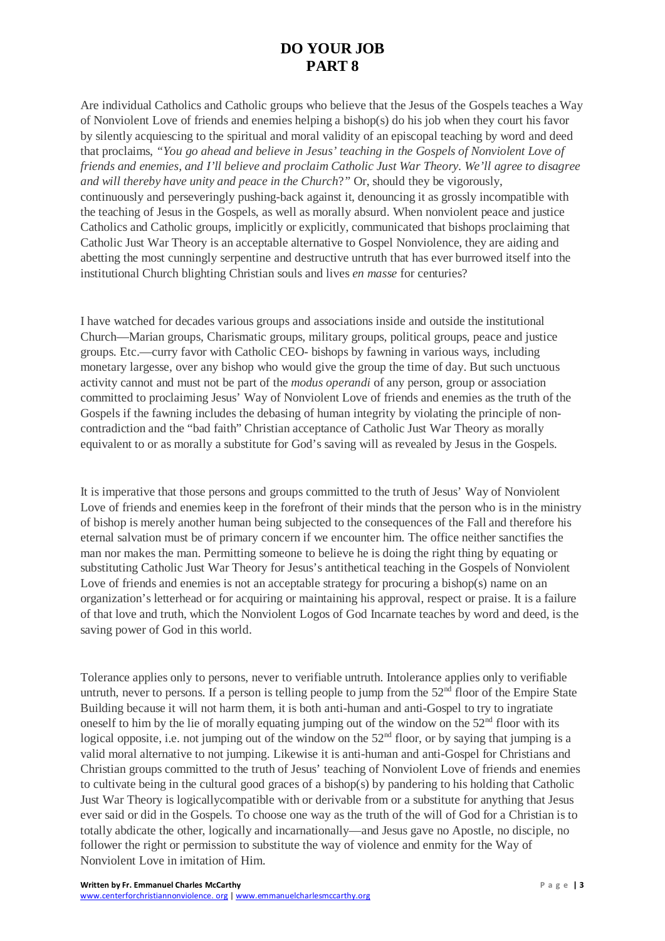Are individual Catholics and Catholic groups who believe that the Jesus of the Gospels teaches a Way of Nonviolent Love of friends and enemies helping a bishop(s) do his job when they court his favor by silently acquiescing to the spiritual and moral validity of an episcopal teaching by word and deed that proclaims, *"You go ahead and believe in Jesus' teaching in the Gospels of Nonviolent Love of friends and enemies, and I'll believe and proclaim Catholic Just War Theory. We'll agree to disagree and will thereby have unity and peace in the Church*?*"* Or, should they be vigorously, continuously and perseveringly pushing-back against it, denouncing it as grossly incompatible with the teaching of Jesus in the Gospels, as well as morally absurd. When nonviolent peace and justice Catholics and Catholic groups, implicitly or explicitly, communicated that bishops proclaiming that Catholic Just War Theory is an acceptable alternative to Gospel Nonviolence, they are aiding and abetting the most cunningly serpentine and destructive untruth that has ever burrowed itself into the institutional Church blighting Christian souls and lives *en masse* for centuries?

I have watched for decades various groups and associations inside and outside the institutional Church—Marian groups, Charismatic groups, military groups, political groups, peace and justice groups. Etc.—curry favor with Catholic CEO- bishops by fawning in various ways, including monetary largesse, over any bishop who would give the group the time of day. But such unctuous activity cannot and must not be part of the *modus operandi* of any person, group or association committed to proclaiming Jesus' Way of Nonviolent Love of friends and enemies as the truth of the Gospels if the fawning includes the debasing of human integrity by violating the principle of noncontradiction and the "bad faith" Christian acceptance of Catholic Just War Theory as morally equivalent to or as morally a substitute for God's saving will as revealed by Jesus in the Gospels.

It is imperative that those persons and groups committed to the truth of Jesus' Way of Nonviolent Love of friends and enemies keep in the forefront of their minds that the person who is in the ministry of bishop is merely another human being subjected to the consequences of the Fall and therefore his eternal salvation must be of primary concern if we encounter him. The office neither sanctifies the man nor makes the man. Permitting someone to believe he is doing the right thing by equating or substituting Catholic Just War Theory for Jesus's antithetical teaching in the Gospels of Nonviolent Love of friends and enemies is not an acceptable strategy for procuring a bishop(s) name on an organization's letterhead or for acquiring or maintaining his approval, respect or praise. It is a failure of that love and truth, which the Nonviolent Logos of God Incarnate teaches by word and deed, is the saving power of God in this world.

Tolerance applies only to persons, never to verifiable untruth. Intolerance applies only to verifiable untruth, never to persons. If a person is telling people to jump from the  $52<sup>nd</sup>$  floor of the Empire State Building because it will not harm them, it is both anti-human and anti-Gospel to try to ingratiate oneself to him by the lie of morally equating jumping out of the window on the  $52<sup>nd</sup>$  floor with its logical opposite, i.e. not jumping out of the window on the  $52<sup>nd</sup>$  floor, or by saying that jumping is a valid moral alternative to not jumping. Likewise it is anti-human and anti-Gospel for Christians and Christian groups committed to the truth of Jesus' teaching of Nonviolent Love of friends and enemies to cultivate being in the cultural good graces of a bishop(s) by pandering to his holding that Catholic Just War Theory is logicallycompatible with or derivable from or a substitute for anything that Jesus ever said or did in the Gospels. To choose one way as the truth of the will of God for a Christian is to totally abdicate the other, logically and incarnationally—and Jesus gave no Apostle, no disciple, no follower the right or permission to substitute the way of violence and enmity for the Way of Nonviolent Love in imitation of Him.